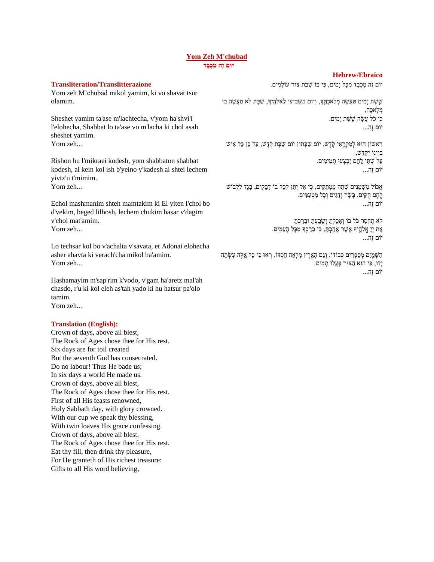## **[Yom Zeh M'chubad](https://soundcloud.com/user-114005263/yom-zeh-mechubad) יֹום זֶה מִ כֻבָּ ד**

## **Hebrew/Ebraico**

**Transliteration/Translitterazione**

Yom zeh M'chubad mikol yamim, ki vo shavat tsur olamim.

Sheshet yamim ta'ase m'lachtecha, v'yom ha'shvi'i l'elohecha, Shabbat lo ta'ase vo m'lacha ki chol asah sheshet yamim. Yom zeh...

Rishon hu l'mikraei kodesh, yom shabbaton shabbat kodesh, al kein kol ish b'yeino y'kadesh al shtei lechem yivtz'u t'mimim. Yom zeh...

Echol mashmanim shteh mamtakim ki El yiten l'chol bo d'vekim, beged lilbosh, lechem chukim basar v'dagim v'chol mat'amim. Yom zeh...

Lo techsar kol bo v'achalta v'savata, et Adonai elohecha asher ahavta ki verach'cha mikol ha'amim. Yom zeh...

Hashamayim m'sap'rim k'vodo, v'gam ha'aretz mal'ah chasdo, r'u ki kol eleh as'tah yado ki hu hatsur pa'olo tamim. Yom zeh...

## **Translation (English):**

Crown of days, above all blest, The Rock of Ages chose thee for His rest. Six days are for toil created But the seventh God has consecrated. Do no labour! Thus He bade us; In six days a world He made us. Crown of days, above all blest, The Rock of Ages chose thee for His rest. First of all His feasts renowned, Holy Sabbath day, with glory crowned. With our cup we speak thy blessing, With twin loaves His grace confessing. Crown of days, above all blest, The Rock of Ages chose thee for His rest. Eat thy fill, then drink thy pleasure, For He granteth of His richest treasure: Gifts to all His word believing,

יֹוֹם זֶה מְכִבֵּד מִכָּל יַמִים, כִּי בוֹ שֵׁבַת צוּר עֹוֹלָמִים.

שֶׁׂשֶׁת יָמִים תַּעֲשֶׂה מְלַאכְחֱךְ, וְיוֹם הַשְּׁבִיעִי לֵאלֹהֳיִךְ, שַׁבָּת לֹא תַעֲשֶׂה בוֹ מְ לָּאכָּה, כִ י כֹל עָּשָּ ה ש ֵֽׁ שֶ ת יָּמִ ים. יֹום זֶה...

רַאשׁוֹן הוּא לְמִקְרֶאֵי קְדֶשׁ, יוֹם שַׁבָּתוֹן יוֹם שַׁבָּת קְדֶשׁ, עַל כֵּן כָּל אִיש בְ י ינֹו יְקַד ש, ַּעֲל שָׁתֵּי לֵחֶם יִבְצְעוּ תְמִימִים. יֹום זֶה...

אֱכוֹל מַשְׁמַנִּים שָׁתֵה מַמְתַּקִים, כִּי אֵל יִתֵּן לְכָל בּוֹ דָבֵקִים, בָּגֵד לִלְבּוֹשׁ לֵֶֽׁחֶם חֻקִ ים, בָּשָּ ר וְ דָּ גִ ים וְ כָּל מַ טְ עַמִ ים. יֹום זֶה...

> לֹא תֶחְסַר כֹּל בּוֹ וְאָכַלְתָּ וְשָׂבְעְתָּ וּבֵרַכְתָּ אֶ ת יְיָּ אֱֹלהֵֶֽׁ יָך אֲשֶ ר אָּ הֵַֽׁ בְ תָּ , כִ י ב רַ כְ ָך מִ כָּל הָּעַמִ ים. יֹום זֶה...

הַשָּׁמֲיִם מְסַפְּרִים כְּבוֹדוֹ, וְגַם הָאָרֵץ מָלְאָה חַסְדוֹ, רְאוּ כִּי כָל אֵלֶּה עָשְׂתָה יָּדֹו, כִ י הּוא הַּצּור פָּעֳלֹו תָּ מִ ים. יֹום זֶה...